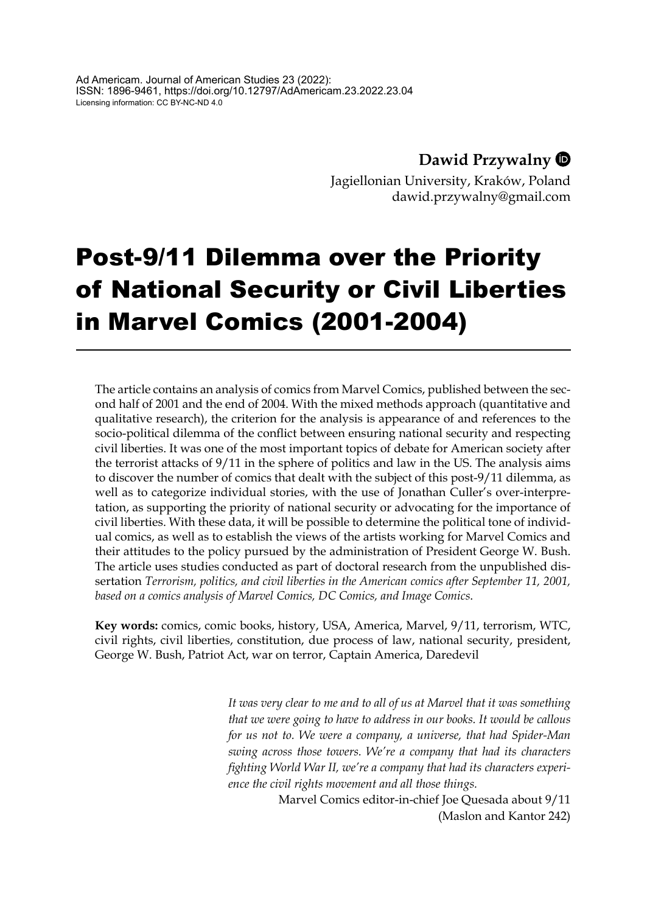**Dawid Przywalny**

Jagiellonian University, Kraków, Poland [dawid.przywalny@gmail.com](mailto:dawid.przywalny@gmail.com)

# Post-9/11 Dilemma over the Priority of National Security or Civil Liberties in Marvel Comics (2001-2004)

The article contains an analysis of comics from Marvel Comics, published between the second half of 2001 and the end of 2004. With the mixed methods approach (quantitative and qualitative research), the criterion for the analysis is appearance of and references to the socio-political dilemma of the conflict between ensuring national security and respecting civil liberties. It was one of the most important topics of debate for American society after the terrorist attacks of 9/11 in the sphere of politics and law in the US. The analysis aims to discover the number of comics that dealt with the subject of this post-9/11 dilemma, as well as to categorize individual stories, with the use of Jonathan Culler's over-interpretation, as supporting the priority of national security or advocating for the importance of civil liberties. With these data, it will be possible to determine the political tone of individual comics, as well as to establish the views of the artists working for Marvel Comics and their attitudes to the policy pursued by the administration of President George W. Bush. The article uses studies conducted as part of doctoral research from the unpublished dissertation *Terrorism, politics, and civil liberties in the American comics after September 11, 2001, based on a comics analysis of Marvel Comics, DC Comics, and Image Comics*.

**Key words:** comics, comic books, history, USA, America, Marvel, 9/11, terrorism, WTC, civil rights, civil liberties, constitution, due process of law, national security, president, George W. Bush, Patriot Act, war on terror, Captain America, Daredevil

> *It was very clear to me and to all of us at Marvel that it was something that we were going to have to address in our books. It would be callous for us not to. We were a company, a universe, that had Spider-Man swing across those towers. We're a company that had its characters fighting World War II, we're a company that had its characters experience the civil rights movement and all those things.*

> > Marvel Comics editor-in-chief Joe Quesada about 9/11 (Maslon and Kantor 242)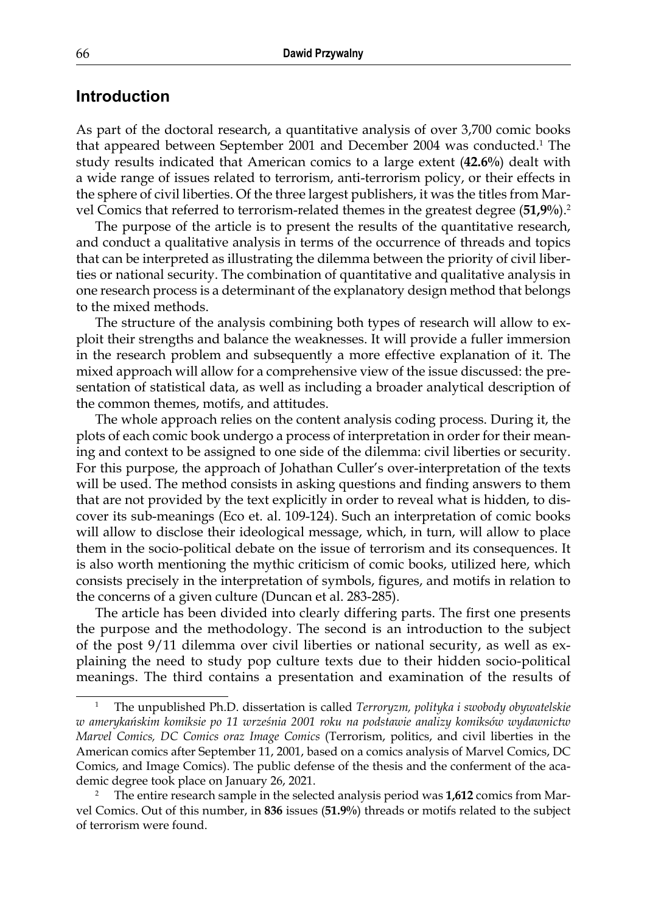## **Introduction**

As part of the doctoral research, a quantitative analysis of over 3,700 comic books that appeared between September 2001 and December 2004 was conducted.<sup>1</sup> The study results indicated that American comics to a large extent (**42.6%**) dealt with a wide range of issues related to terrorism, anti-terrorism policy, or their effects in the sphere of civil liberties. Of the three largest publishers, it was the titles from Marvel Comics that referred to terrorism-related themes in the greatest degree (**51,9%**).<sup>2</sup>

The purpose of the article is to present the results of the quantitative research, and conduct a qualitative analysis in terms of the occurrence of threads and topics that can be interpreted as illustrating the dilemma between the priority of civil liberties or national security. The combination of quantitative and qualitative analysis in one research process is a determinant of the explanatory design method that belongs to the mixed methods.

The structure of the analysis combining both types of research will allow to exploit their strengths and balance the weaknesses. It will provide a fuller immersion in the research problem and subsequently a more effective explanation of it. The mixed approach will allow for a comprehensive view of the issue discussed: the presentation of statistical data, as well as including a broader analytical description of the common themes, motifs, and attitudes.

The whole approach relies on the content analysis coding process. During it, the plots of each comic book undergo a process of interpretation in order for their meaning and context to be assigned to one side of the dilemma: civil liberties or security. For this purpose, the approach of Johathan Culler's over-interpretation of the texts will be used. The method consists in asking questions and finding answers to them that are not provided by the text explicitly in order to reveal what is hidden, to discover its sub-meanings (Eco et. al. 109-124). Such an interpretation of comic books will allow to disclose their ideological message, which, in turn, will allow to place them in the socio-political debate on the issue of terrorism and its consequences. It is also worth mentioning the mythic criticism of comic books, utilized here, which consists precisely in the interpretation of symbols, figures, and motifs in relation to the concerns of a given culture (Duncan et al. 283-285).

The article has been divided into clearly differing parts. The first one presents the purpose and the methodology. The second is an introduction to the subject of the post 9/11 dilemma over civil liberties or national security, as well as explaining the need to study pop culture texts due to their hidden socio-political meanings. The third contains a presentation and examination of the results of

<sup>1</sup> The unpublished Ph.D. dissertation is called *Terroryzm, polityka i swobody obywatelskie w amerykańskim komiksie po 11 września 2001 roku na podstawie analizy komiksów wydawnictw Marvel Comics, DC Comics oraz Image Comics* (Terrorism, politics, and civil liberties in the American comics after September 11, 2001, based on a comics analysis of Marvel Comics, DC Comics, and Image Comics). The public defense of the thesis and the conferment of the academic degree took place on January 26, 2021.

<sup>2</sup> The entire research sample in the selected analysis period was **1,612** comics from Marvel Comics. Out of this number, in **836** issues (**51.9%**) threads or motifs related to the subject of terrorism were found.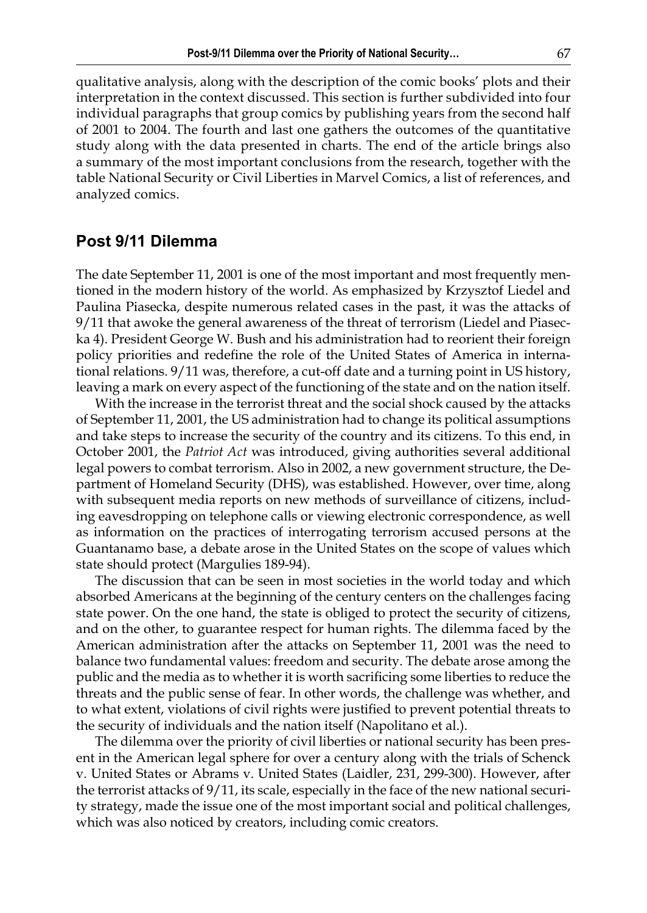qualitative analysis, along with the description of the comic books' plots and their interpretation in the context discussed. This section is further subdivided into four individual paragraphs that group comics by publishing years from the second half of 2001 to 2004. The fourth and last one gathers the outcomes of the quantitative study along with the data presented in charts. The end of the article brings also a summary of the most important conclusions from the research, together with the table National Security or Civil Liberties in Marvel Comics, a list of references, and analyzed comics.

## **Post 9/11 Dilemma**

The date September 11, 2001 is one of the most important and most frequently mentioned in the modern history of the world. As emphasized by Krzysztof Liedel and Paulina Piasecka, despite numerous related cases in the past, it was the attacks of 9/11 that awoke the general awareness of the threat of terrorism (Liedel and Piasecka 4). President George W. Bush and his administration had to reorient their foreign policy priorities and redefine the role of the United States of America in international relations. 9/11 was, therefore, a cut-off date and a turning point in US history, leaving a mark on every aspect of the functioning of the state and on the nation itself.

With the increase in the terrorist threat and the social shock caused by the attacks of September 11, 2001, the US administration had to change its political assumptions and take steps to increase the security of the country and its citizens. To this end, in October 2001, the *Patriot Act* was introduced, giving authorities several additional legal powers to combat terrorism. Also in 2002, a new government structure, the Department of Homeland Security (DHS), was established. However, over time, along with subsequent media reports on new methods of surveillance of citizens, including eavesdropping on telephone calls or viewing electronic correspondence, as well as information on the practices of interrogating terrorism accused persons at the Guantanamo base, a debate arose in the United States on the scope of values which state should protect (Margulies 189-94).

The discussion that can be seen in most societies in the world today and which absorbed Americans at the beginning of the century centers on the challenges facing state power. On the one hand, the state is obliged to protect the security of citizens, and on the other, to guarantee respect for human rights. The dilemma faced by the American administration after the attacks on September 11, 2001 was the need to balance two fundamental values: freedom and security. The debate arose among the public and the media as to whether it is worth sacrificing some liberties to reduce the threats and the public sense of fear. In other words, the challenge was whether, and to what extent, violations of civil rights were justified to prevent potential threats to the security of individuals and the nation itself (Napolitano et al.).

The dilemma over the priority of civil liberties or national security has been present in the American legal sphere for over a century along with the trials of Schenck v. United States or Abrams v. United States (Laidler, 231, 299-300). However, after the terrorist attacks of 9/11, its scale, especially in the face of the new national security strategy, made the issue one of the most important social and political challenges, which was also noticed by creators, including comic creators.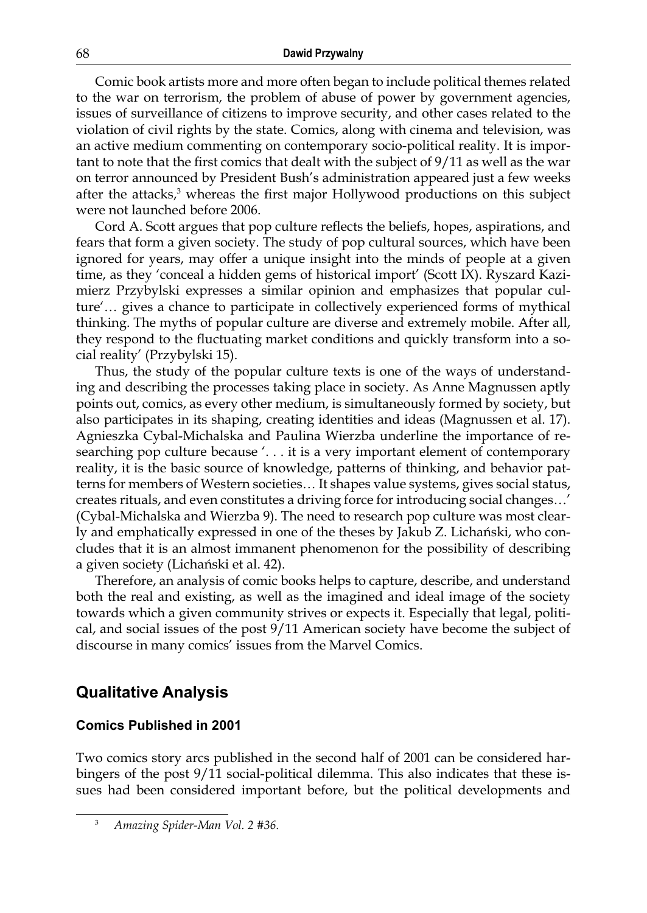Comic book artists more and more often began to include political themes related to the war on terrorism, the problem of abuse of power by government agencies, issues of surveillance of citizens to improve security, and other cases related to the violation of civil rights by the state. Comics, along with cinema and television, was an active medium commenting on contemporary socio-political reality. It is important to note that the first comics that dealt with the subject of 9/11 as well as the war on terror announced by President Bush's administration appeared just a few weeks after the attacks,<sup>3</sup> whereas the first major Hollywood productions on this subject were not launched before 2006.

Cord A. Scott argues that pop culture reflects the beliefs, hopes, aspirations, and fears that form a given society. The study of pop cultural sources, which have been ignored for years, may offer a unique insight into the minds of people at a given time, as they 'conceal a hidden gems of historical import' (Scott IX). Ryszard Kazimierz Przybylski expresses a similar opinion and emphasizes that popular culture'… gives a chance to participate in collectively experienced forms of mythical thinking. The myths of popular culture are diverse and extremely mobile. After all, they respond to the fluctuating market conditions and quickly transform into a social reality' (Przybylski 15).

Thus, the study of the popular culture texts is one of the ways of understanding and describing the processes taking place in society. As Anne Magnussen aptly points out, comics, as every other medium, is simultaneously formed by society, but also participates in its shaping, creating identities and ideas (Magnussen et al. 17). Agnieszka Cybal-Michalska and Paulina Wierzba underline the importance of researching pop culture because '. . . it is a very important element of contemporary reality, it is the basic source of knowledge, patterns of thinking, and behavior patterns for members of Western societies… It shapes value systems, gives social status, creates rituals, and even constitutes a driving force for introducing social changes…' (Cybal-Michalska and Wierzba 9). The need to research pop culture was most clearly and emphatically expressed in one of the theses by Jakub Z. Lichański, who concludes that it is an almost immanent phenomenon for the possibility of describing a given society (Lichański et al. 42).

Therefore, an analysis of comic books helps to capture, describe, and understand both the real and existing, as well as the imagined and ideal image of the society towards which a given community strives or expects it. Especially that legal, political, and social issues of the post 9/11 American society have become the subject of discourse in many comics' issues from the Marvel Comics.

## **Qualitative Analysis**

### **Comics Published in 2001**

Two comics story arcs published in the second half of 2001 can be considered harbingers of the post 9/11 social-political dilemma. This also indicates that these issues had been considered important before, but the political developments and

<sup>3</sup> *Amazing Spider-Man Vol. 2 #36.*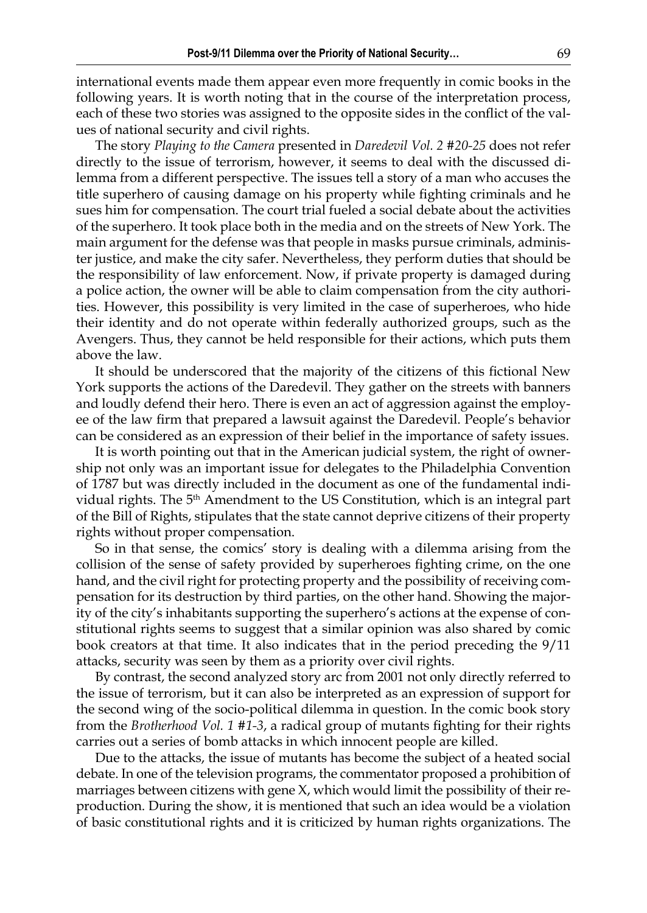international events made them appear even more frequently in comic books in the following years. It is worth noting that in the course of the interpretation process, each of these two stories was assigned to the opposite sides in the conflict of the values of national security and civil rights.

The story *Playing to the Camera* presented in *Daredevil Vol. 2 #20-25* does not refer directly to the issue of terrorism, however, it seems to deal with the discussed dilemma from a different perspective. The issues tell a story of a man who accuses the title superhero of causing damage on his property while fighting criminals and he sues him for compensation. The court trial fueled a social debate about the activities of the superhero. It took place both in the media and on the streets of New York. The main argument for the defense was that people in masks pursue criminals, administer justice, and make the city safer. Nevertheless, they perform duties that should be the responsibility of law enforcement. Now, if private property is damaged during a police action, the owner will be able to claim compensation from the city authorities. However, this possibility is very limited in the case of superheroes, who hide their identity and do not operate within federally authorized groups, such as the Avengers. Thus, they cannot be held responsible for their actions, which puts them above the law.

It should be underscored that the majority of the citizens of this fictional New York supports the actions of the Daredevil. They gather on the streets with banners and loudly defend their hero. There is even an act of aggression against the employee of the law firm that prepared a lawsuit against the Daredevil. People's behavior can be considered as an expression of their belief in the importance of safety issues.

It is worth pointing out that in the American judicial system, the right of ownership not only was an important issue for delegates to the Philadelphia Convention of 1787 but was directly included in the document as one of the fundamental individual rights. The 5<sup>th</sup> Amendment to the US Constitution, which is an integral part of the Bill of Rights, stipulates that the state cannot deprive citizens of their property rights without proper compensation.

So in that sense, the comics' story is dealing with a dilemma arising from the collision of the sense of safety provided by superheroes fighting crime, on the one hand, and the civil right for protecting property and the possibility of receiving compensation for its destruction by third parties, on the other hand. Showing the majority of the city's inhabitants supporting the superhero's actions at the expense of constitutional rights seems to suggest that a similar opinion was also shared by comic book creators at that time. It also indicates that in the period preceding the 9/11 attacks, security was seen by them as a priority over civil rights.

By contrast, the second analyzed story arc from 2001 not only directly referred to the issue of terrorism, but it can also be interpreted as an expression of support for the second wing of the socio-political dilemma in question. In the comic book story from the *Brotherhood Vol. 1 #1-3*, a radical group of mutants fighting for their rights carries out a series of bomb attacks in which innocent people are killed.

Due to the attacks, the issue of mutants has become the subject of a heated social debate. In one of the television programs, the commentator proposed a prohibition of marriages between citizens with gene X, which would limit the possibility of their reproduction. During the show, it is mentioned that such an idea would be a violation of basic constitutional rights and it is criticized by human rights organizations. The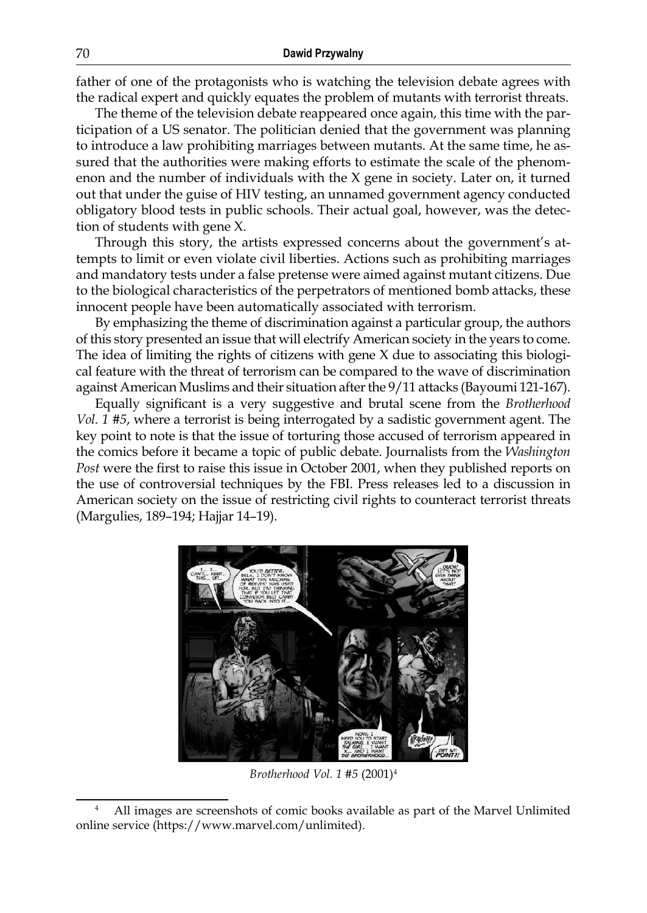father of one of the protagonists who is watching the television debate agrees with the radical expert and quickly equates the problem of mutants with terrorist threats.

The theme of the television debate reappeared once again, this time with the participation of a US senator. The politician denied that the government was planning to introduce a law prohibiting marriages between mutants. At the same time, he assured that the authorities were making efforts to estimate the scale of the phenomenon and the number of individuals with the  $X$  gene in society. Later on, it turned out that under the guise of HIV testing, an unnamed government agency conducted obligatory blood tests in public schools. Their actual goal, however, was the detection of students with gene X.

Through this story, the artists expressed concerns about the government's attempts to limit or even violate civil liberties. Actions such as prohibiting marriages and mandatory tests under a false pretense were aimed against mutant citizens. Due to the biological characteristics of the perpetrators of mentioned bomb attacks, these innocent people have been automatically associated with terrorism.

By emphasizing the theme of discrimination against a particular group, the authors of this story presented an issue that will electrify American society in the years to come. The idea of limiting the rights of citizens with gene X due to associating this biological feature with the threat of terrorism can be compared to the wave of discrimination against American Muslims and their situation after the 9/11 attacks (Bayoumi 121-167).

Equally significant is a very suggestive and brutal scene from the *Brotherhood Vol. 1 #5*, where a terrorist is being interrogated by a sadistic government agent. The key point to note is that the issue of torturing those accused of terrorism appeared in the comics before it became a topic of public debate. Journalists from the *Washington Post* were the first to raise this issue in October 2001, when they published reports on the use of controversial techniques by the FBI. Press releases led to a discussion in American society on the issue of restricting civil rights to counteract terrorist threats (Margulies, 189–194; Hajjar 14–19).



*Brotherhood Vol. 1 #5* (2001)4

<sup>4</sup> All images are screenshots of comic books available as part of the Marvel Unlimited online service (https://www.marvel.com/unlimited).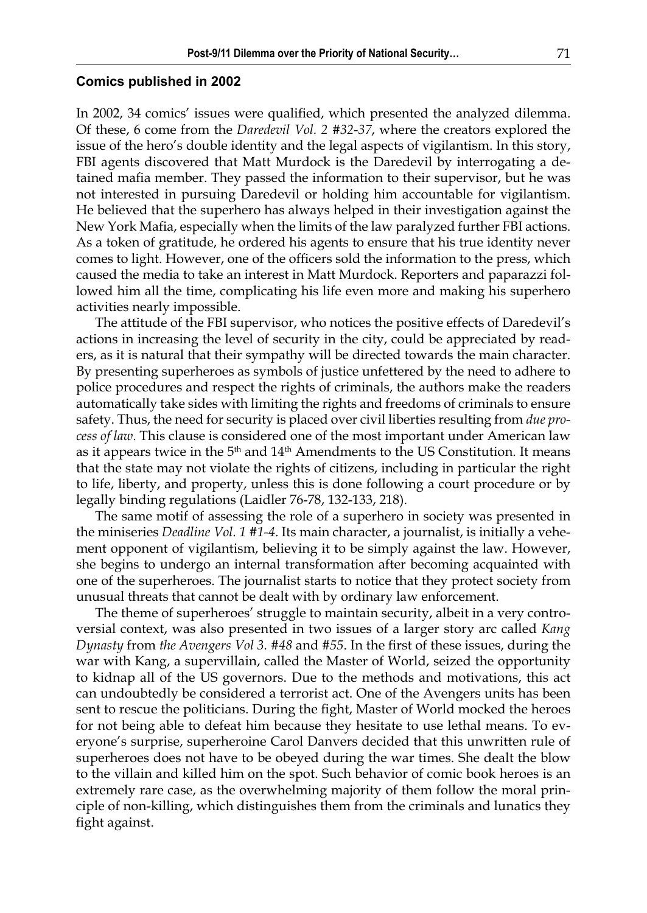#### **Comics published in 2002**

In 2002, 34 comics' issues were qualified, which presented the analyzed dilemma. Of these, 6 come from the *Daredevil Vol. 2 #32-37*, where the creators explored the issue of the hero's double identity and the legal aspects of vigilantism. In this story, FBI agents discovered that Matt Murdock is the Daredevil by interrogating a detained mafia member. They passed the information to their supervisor, but he was not interested in pursuing Daredevil or holding him accountable for vigilantism. He believed that the superhero has always helped in their investigation against the New York Mafia, especially when the limits of the law paralyzed further FBI actions. As a token of gratitude, he ordered his agents to ensure that his true identity never comes to light. However, one of the officers sold the information to the press, which caused the media to take an interest in Matt Murdock. Reporters and paparazzi followed him all the time, complicating his life even more and making his superhero activities nearly impossible.

The attitude of the FBI supervisor, who notices the positive effects of Daredevil's actions in increasing the level of security in the city, could be appreciated by readers, as it is natural that their sympathy will be directed towards the main character. By presenting superheroes as symbols of justice unfettered by the need to adhere to police procedures and respect the rights of criminals, the authors make the readers automatically take sides with limiting the rights and freedoms of criminals to ensure safety. Thus, the need for security is placed over civil liberties resulting from *due process of law*. This clause is considered one of the most important under American law as it appears twice in the  $5<sup>th</sup>$  and  $14<sup>th</sup>$  Amendments to the US Constitution. It means that the state may not violate the rights of citizens, including in particular the right to life, liberty, and property, unless this is done following a court procedure or by legally binding regulations (Laidler 76-78, 132-133, 218).

The same motif of assessing the role of a superhero in society was presented in the miniseries *Deadline Vol. 1 #1-4*. Its main character, a journalist, is initially a vehement opponent of vigilantism, believing it to be simply against the law. However, she begins to undergo an internal transformation after becoming acquainted with one of the superheroes. The journalist starts to notice that they protect society from unusual threats that cannot be dealt with by ordinary law enforcement.

The theme of superheroes' struggle to maintain security, albeit in a very controversial context, was also presented in two issues of a larger story arc called *Kang Dynasty* from *the Avengers Vol 3. #48* and *#55*. In the first of these issues, during the war with Kang, a supervillain, called the Master of World, seized the opportunity to kidnap all of the US governors. Due to the methods and motivations, this act can undoubtedly be considered a terrorist act. One of the Avengers units has been sent to rescue the politicians. During the fight, Master of World mocked the heroes for not being able to defeat him because they hesitate to use lethal means. To everyone's surprise, superheroine Carol Danvers decided that this unwritten rule of superheroes does not have to be obeyed during the war times. She dealt the blow to the villain and killed him on the spot. Such behavior of comic book heroes is an extremely rare case, as the overwhelming majority of them follow the moral principle of non-killing, which distinguishes them from the criminals and lunatics they fight against.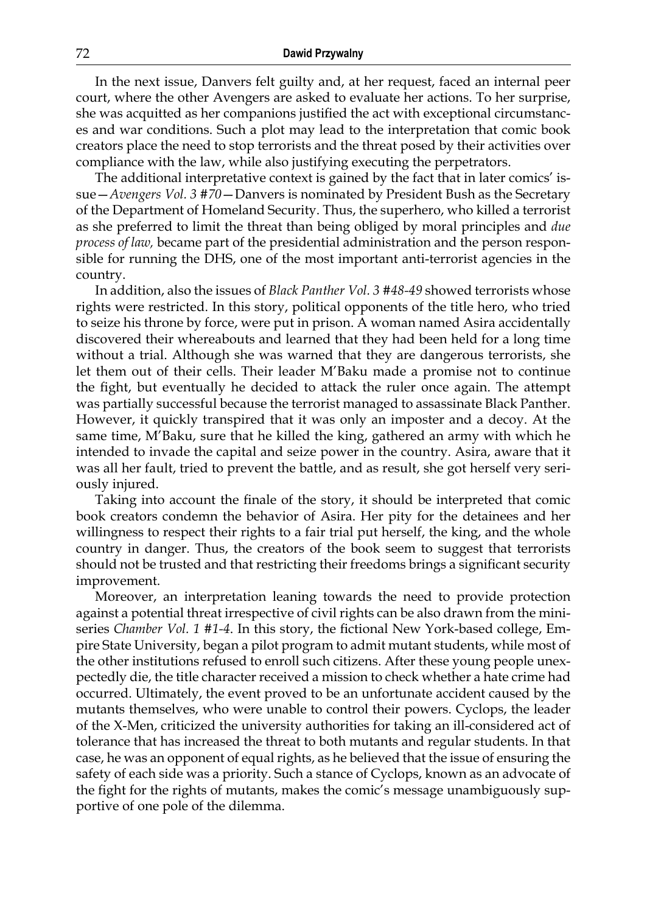In the next issue, Danvers felt guilty and, at her request, faced an internal peer court, where the other Avengers are asked to evaluate her actions. To her surprise, she was acquitted as her companions justified the act with exceptional circumstances and war conditions. Such a plot may lead to the interpretation that comic book creators place the need to stop terrorists and the threat posed by their activities over compliance with the law, while also justifying executing the perpetrators.

The additional interpretative context is gained by the fact that in later comics' issue—*Avengers Vol. 3 #70*—Danvers is nominated by President Bush as the Secretary of the Department of Homeland Security. Thus, the superhero, who killed a terrorist as she preferred to limit the threat than being obliged by moral principles and *due process of law,* became part of the presidential administration and the person responsible for running the DHS, one of the most important anti-terrorist agencies in the country.

In addition, also the issues of *Black Panther Vol. 3 #48-49* showed terrorists whose rights were restricted. In this story, political opponents of the title hero, who tried to seize his throne by force, were put in prison. A woman named Asira accidentally discovered their whereabouts and learned that they had been held for a long time without a trial. Although she was warned that they are dangerous terrorists, she let them out of their cells. Their leader M'Baku made a promise not to continue the fight, but eventually he decided to attack the ruler once again. The attempt was partially successful because the terrorist managed to assassinate Black Panther. However, it quickly transpired that it was only an imposter and a decoy. At the same time, M'Baku, sure that he killed the king, gathered an army with which he intended to invade the capital and seize power in the country. Asira, aware that it was all her fault, tried to prevent the battle, and as result, she got herself very seriously injured.

Taking into account the finale of the story, it should be interpreted that comic book creators condemn the behavior of Asira. Her pity for the detainees and her willingness to respect their rights to a fair trial put herself, the king, and the whole country in danger. Thus, the creators of the book seem to suggest that terrorists should not be trusted and that restricting their freedoms brings a significant security improvement.

Moreover, an interpretation leaning towards the need to provide protection against a potential threat irrespective of civil rights can be also drawn from the miniseries *Chamber Vol. 1 #1-4*. In this story, the fictional New York-based college, Empire State University, began a pilot program to admit mutant students, while most of the other institutions refused to enroll such citizens. After these young people unexpectedly die, the title character received a mission to check whether a hate crime had occurred. Ultimately, the event proved to be an unfortunate accident caused by the mutants themselves, who were unable to control their powers. Cyclops, the leader of the X-Men, criticized the university authorities for taking an ill-considered act of tolerance that has increased the threat to both mutants and regular students. In that case, he was an opponent of equal rights, as he believed that the issue of ensuring the safety of each side was a priority. Such a stance of Cyclops, known as an advocate of the fight for the rights of mutants, makes the comic's message unambiguously supportive of one pole of the dilemma.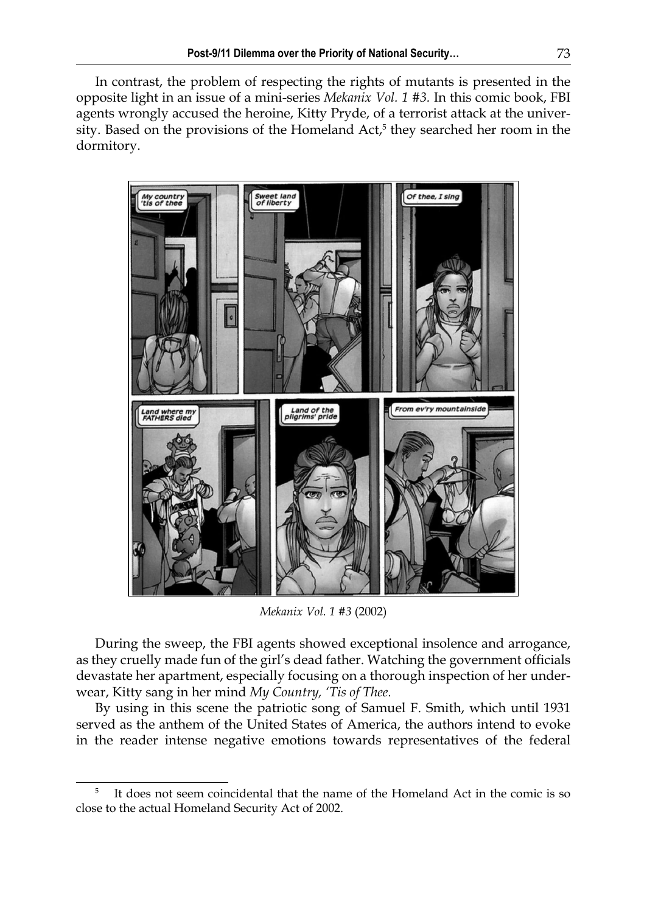In contrast, the problem of respecting the rights of mutants is presented in the opposite light in an issue of a mini-series *Mekanix Vol. 1 #3.* In this comic book, FBI agents wrongly accused the heroine, Kitty Pryde, of a terrorist attack at the university. Based on the provisions of the Homeland Act,<sup>5</sup> they searched her room in the dormitory.



*Mekanix Vol. 1 #3* (2002)

During the sweep, the FBI agents showed exceptional insolence and arrogance, as they cruelly made fun of the girl's dead father. Watching the government officials devastate her apartment, especially focusing on a thorough inspection of her underwear, Kitty sang in her mind *My Country, 'Tis of Thee.*

By using in this scene the patriotic song of Samuel F. Smith, which until 1931 served as the anthem of the United States of America, the authors intend to evoke in the reader intense negative emotions towards representatives of the federal

<sup>5</sup> It does not seem coincidental that the name of the Homeland Act in the comic is so close to the actual Homeland Security Act of 2002.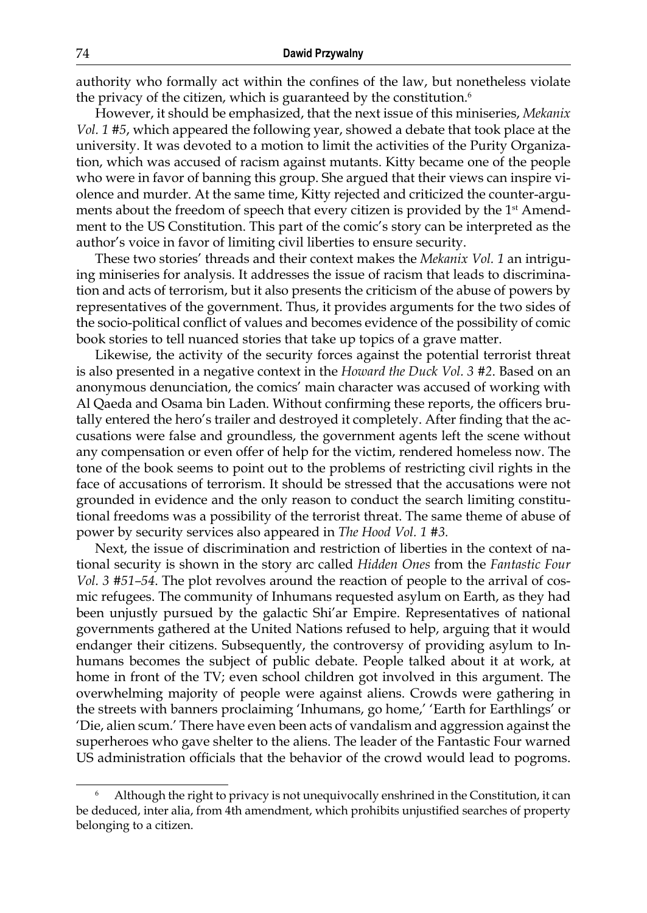authority who formally act within the confines of the law, but nonetheless violate the privacy of the citizen, which is guaranteed by the constitution.<sup>6</sup>

However, it should be emphasized, that the next issue of this miniseries, *Mekanix Vol. 1 #5*, which appeared the following year, showed a debate that took place at the university. It was devoted to a motion to limit the activities of the Purity Organization, which was accused of racism against mutants. Kitty became one of the people who were in favor of banning this group. She argued that their views can inspire violence and murder. At the same time, Kitty rejected and criticized the counter-arguments about the freedom of speech that every citizen is provided by the  $1<sup>st</sup>$  Amendment to the US Constitution. This part of the comic's story can be interpreted as the author's voice in favor of limiting civil liberties to ensure security.

These two stories' threads and their context makes the *Mekanix Vol. 1* an intriguing miniseries for analysis. It addresses the issue of racism that leads to discrimination and acts of terrorism, but it also presents the criticism of the abuse of powers by representatives of the government. Thus, it provides arguments for the two sides of the socio-political conflict of values and becomes evidence of the possibility of comic book stories to tell nuanced stories that take up topics of a grave matter.

Likewise, the activity of the security forces against the potential terrorist threat is also presented in a negative context in the *Howard the Duck Vol. 3 #2*. Based on an anonymous denunciation, the comics' main character was accused of working with Al Qaeda and Osama bin Laden. Without confirming these reports, the officers brutally entered the hero's trailer and destroyed it completely. After finding that the accusations were false and groundless, the government agents left the scene without any compensation or even offer of help for the victim, rendered homeless now. The tone of the book seems to point out to the problems of restricting civil rights in the face of accusations of terrorism. It should be stressed that the accusations were not grounded in evidence and the only reason to conduct the search limiting constitutional freedoms was a possibility of the terrorist threat. The same theme of abuse of power by security services also appeared in *The Hood Vol. 1 #3.*

Next, the issue of discrimination and restriction of liberties in the context of national security is shown in the story arc called *Hidden Ones* from the *Fantastic Four Vol. 3 #51–54*. The plot revolves around the reaction of people to the arrival of cosmic refugees. The community of Inhumans requested asylum on Earth, as they had been unjustly pursued by the galactic Shi'ar Empire. Representatives of national governments gathered at the United Nations refused to help, arguing that it would endanger their citizens. Subsequently, the controversy of providing asylum to Inhumans becomes the subject of public debate. People talked about it at work, at home in front of the TV; even school children got involved in this argument. The overwhelming majority of people were against aliens. Crowds were gathering in the streets with banners proclaiming 'Inhumans, go home,' 'Earth for Earthlings' or 'Die, alien scum.' There have even been acts of vandalism and aggression against the superheroes who gave shelter to the aliens. The leader of the Fantastic Four warned US administration officials that the behavior of the crowd would lead to pogroms.

<sup>6</sup> Although the right to privacy is not unequivocally enshrined in the Constitution, it can be deduced, inter alia, from 4th amendment, which prohibits unjustified searches of property belonging to a citizen.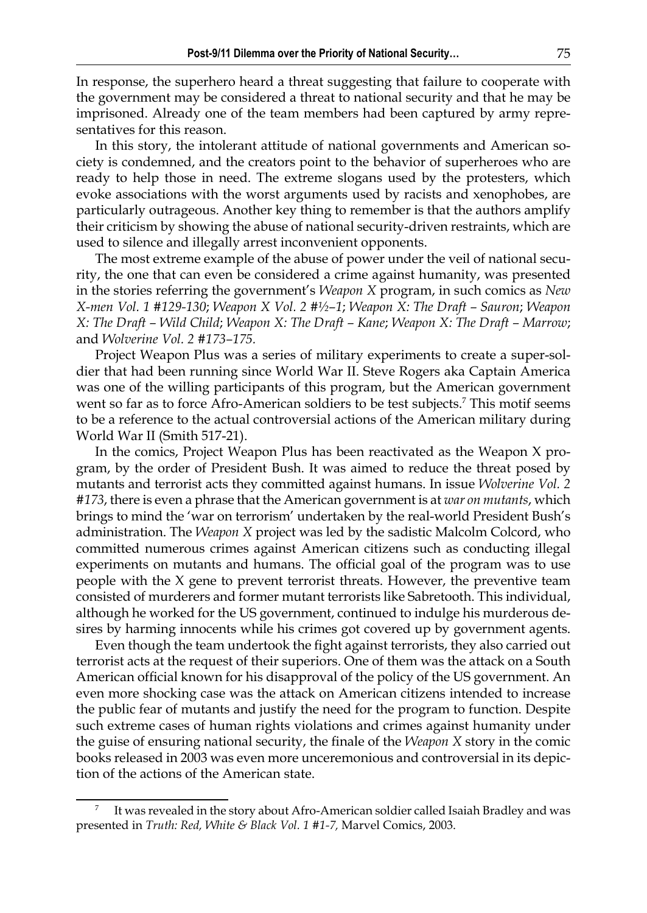In response, the superhero heard a threat suggesting that failure to cooperate with the government may be considered a threat to national security and that he may be imprisoned. Already one of the team members had been captured by army representatives for this reason.

In this story, the intolerant attitude of national governments and American society is condemned, and the creators point to the behavior of superheroes who are ready to help those in need. The extreme slogans used by the protesters, which evoke associations with the worst arguments used by racists and xenophobes, are particularly outrageous. Another key thing to remember is that the authors amplify their criticism by showing the abuse of national security-driven restraints, which are used to silence and illegally arrest inconvenient opponents.

The most extreme example of the abuse of power under the veil of national security, the one that can even be considered a crime against humanity, was presented in the stories referring the government's *Weapon X* program, in such comics as *New X-men Vol. 1 #129-130*; *Weapon X Vol. 2 #½–1*; *Weapon X: The Draft – Sauron*; *Weapon X: The Draft – Wild Child*; *Weapon X: The Draft – Kane*; *Weapon X: The Draft – Marrow*; and *Wolverine Vol. 2 #173–175.*

Project Weapon Plus was a series of military experiments to create a super-soldier that had been running since World War II. Steve Rogers aka Captain America was one of the willing participants of this program, but the American government went so far as to force Afro-American soldiers to be test subjects.<sup>7</sup> This motif seems to be a reference to the actual controversial actions of the American military during World War II (Smith 517-21).

In the comics, Project Weapon Plus has been reactivated as the Weapon X program, by the order of President Bush. It was aimed to reduce the threat posed by mutants and terrorist acts they committed against humans. In issue *Wolverine Vol. 2 #173*, there is even a phrase that the American government is at *war on mutants*, which brings to mind the 'war on terrorism' undertaken by the real-world President Bush's administration. The *Weapon X* project was led by the sadistic Malcolm Colcord, who committed numerous crimes against American citizens such as conducting illegal experiments on mutants and humans. The official goal of the program was to use people with the X gene to prevent terrorist threats. However, the preventive team consisted of murderers and former mutant terrorists like Sabretooth. This individual, although he worked for the US government, continued to indulge his murderous desires by harming innocents while his crimes got covered up by government agents.

Even though the team undertook the fight against terrorists, they also carried out terrorist acts at the request of their superiors. One of them was the attack on a South American official known for his disapproval of the policy of the US government. An even more shocking case was the attack on American citizens intended to increase the public fear of mutants and justify the need for the program to function. Despite such extreme cases of human rights violations and crimes against humanity under the guise of ensuring national security, the finale of the *Weapon X* story in the comic books released in 2003 was even more unceremonious and controversial in its depiction of the actions of the American state.

<sup>7</sup> It was revealed in the story about Afro-American soldier called Isaiah Bradley and was presented in *Truth: Red, White & Black Vol. 1 #1-7,* Marvel Comics, 2003.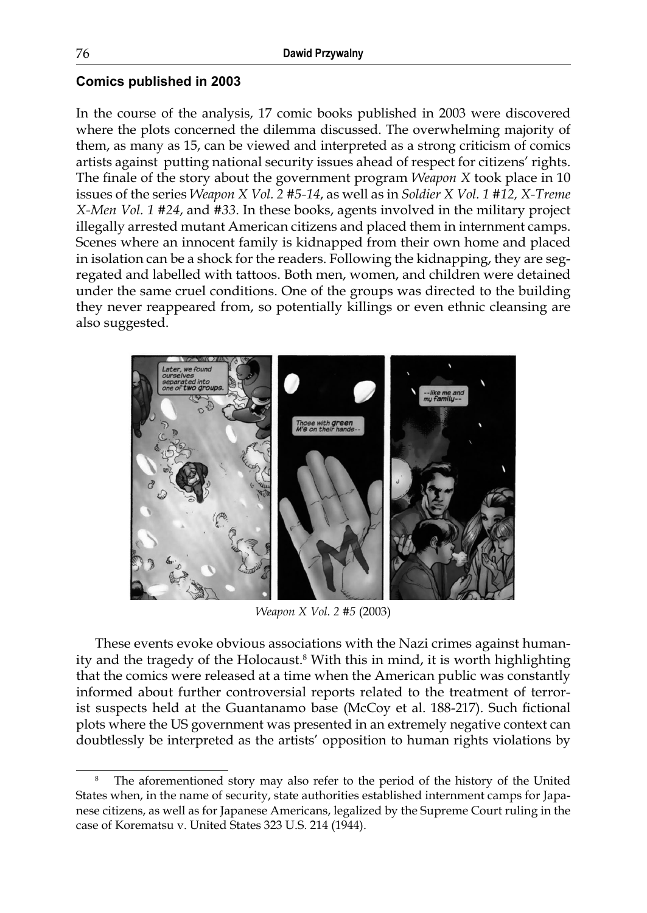## **Comics published in 2003**

In the course of the analysis, 17 comic books published in 2003 were discovered where the plots concerned the dilemma discussed. The overwhelming majority of them, as many as 15, can be viewed and interpreted as a strong criticism of comics artists against putting national security issues ahead of respect for citizens' rights. The finale of the story about the government program *Weapon X* took place in 10 issues of the series *Weapon X Vol. 2 #5-14*, as well as in *Soldier X Vol. 1 #12, X-Treme X-Men Vol. 1 #24*, and *#33*. In these books, agents involved in the military project illegally arrested mutant American citizens and placed them in internment camps. Scenes where an innocent family is kidnapped from their own home and placed in isolation can be a shock for the readers. Following the kidnapping, they are segregated and labelled with tattoos. Both men, women, and children were detained under the same cruel conditions. One of the groups was directed to the building they never reappeared from, so potentially killings or even ethnic cleansing are also suggested.



*Weapon X Vol. 2 #5* (2003)

These events evoke obvious associations with the Nazi crimes against humanity and the tragedy of the Holocaust.<sup>8</sup> With this in mind, it is worth highlighting that the comics were released at a time when the American public was constantly informed about further controversial reports related to the treatment of terrorist suspects held at the Guantanamo base (McCoy et al. 188-217). Such fictional plots where the US government was presented in an extremely negative context can doubtlessly be interpreted as the artists' opposition to human rights violations by

<sup>8</sup> The aforementioned story may also refer to the period of the history of the United States when, in the name of security, state authorities established internment camps for Japanese citizens, as well as for Japanese Americans, legalized by the Supreme Court ruling in the case of Korematsu v. United States 323 U.S. 214 (1944).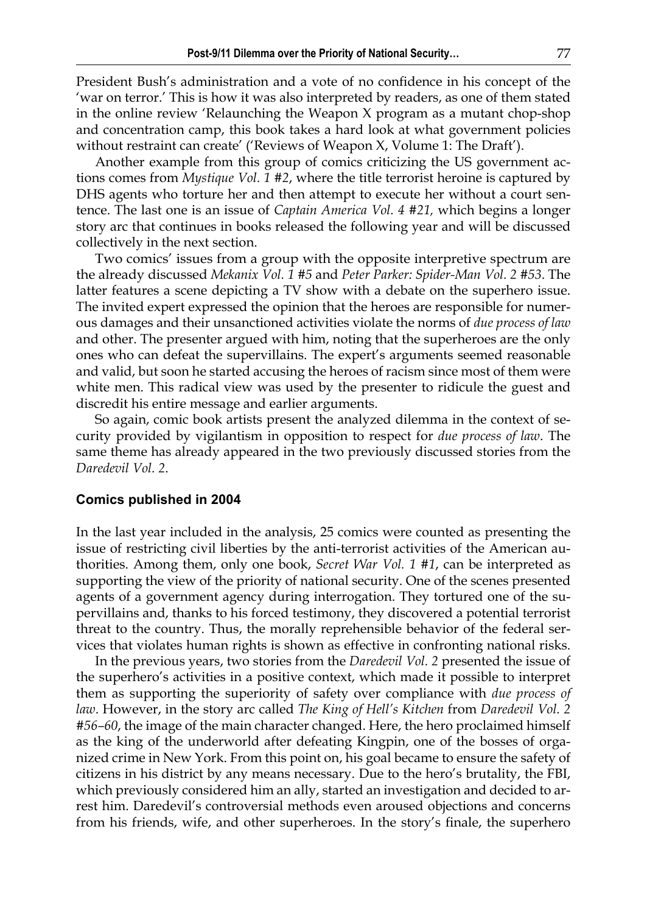President Bush's administration and a vote of no confidence in his concept of the 'war on terror.' This is how it was also interpreted by readers, as one of them stated in the online review 'Relaunching the Weapon X program as a mutant chop-shop and concentration camp, this book takes a hard look at what government policies without restraint can create' ('Reviews of Weapon X, Volume 1: The Draft').

Another example from this group of comics criticizing the US government actions comes from *Mystique Vol. 1 #2*, where the title terrorist heroine is captured by DHS agents who torture her and then attempt to execute her without a court sentence. The last one is an issue of *Captain America Vol. 4 #21,* which begins a longer story arc that continues in books released the following year and will be discussed collectively in the next section.

Two comics' issues from a group with the opposite interpretive spectrum are the already discussed *Mekanix Vol. 1 #5* and *Peter Parker: Spider-Man Vol. 2 #53*. The latter features a scene depicting a TV show with a debate on the superhero issue. The invited expert expressed the opinion that the heroes are responsible for numerous damages and their unsanctioned activities violate the norms of *due process of law* and other. The presenter argued with him, noting that the superheroes are the only ones who can defeat the supervillains. The expert's arguments seemed reasonable and valid, but soon he started accusing the heroes of racism since most of them were white men. This radical view was used by the presenter to ridicule the guest and discredit his entire message and earlier arguments.

So again, comic book artists present the analyzed dilemma in the context of security provided by vigilantism in opposition to respect for *due process of law*. The same theme has already appeared in the two previously discussed stories from the *Daredevil Vol. 2*.

#### **Comics published in 2004**

In the last year included in the analysis, 25 comics were counted as presenting the issue of restricting civil liberties by the anti-terrorist activities of the American authorities. Among them, only one book, *Secret War Vol. 1 #1*, can be interpreted as supporting the view of the priority of national security. One of the scenes presented agents of a government agency during interrogation. They tortured one of the supervillains and, thanks to his forced testimony, they discovered a potential terrorist threat to the country. Thus, the morally reprehensible behavior of the federal services that violates human rights is shown as effective in confronting national risks.

In the previous years, two stories from the *Daredevil Vol. 2* presented the issue of the superhero's activities in a positive context, which made it possible to interpret them as supporting the superiority of safety over compliance with *due process of law*. However, in the story arc called *The King of Hell's Kitchen* from *Daredevil Vol. 2 #56–60*, the image of the main character changed. Here, the hero proclaimed himself as the king of the underworld after defeating Kingpin, one of the bosses of organized crime in New York. From this point on, his goal became to ensure the safety of citizens in his district by any means necessary. Due to the hero's brutality, the FBI, which previously considered him an ally, started an investigation and decided to arrest him. Daredevil's controversial methods even aroused objections and concerns from his friends, wife, and other superheroes. In the story's finale, the superhero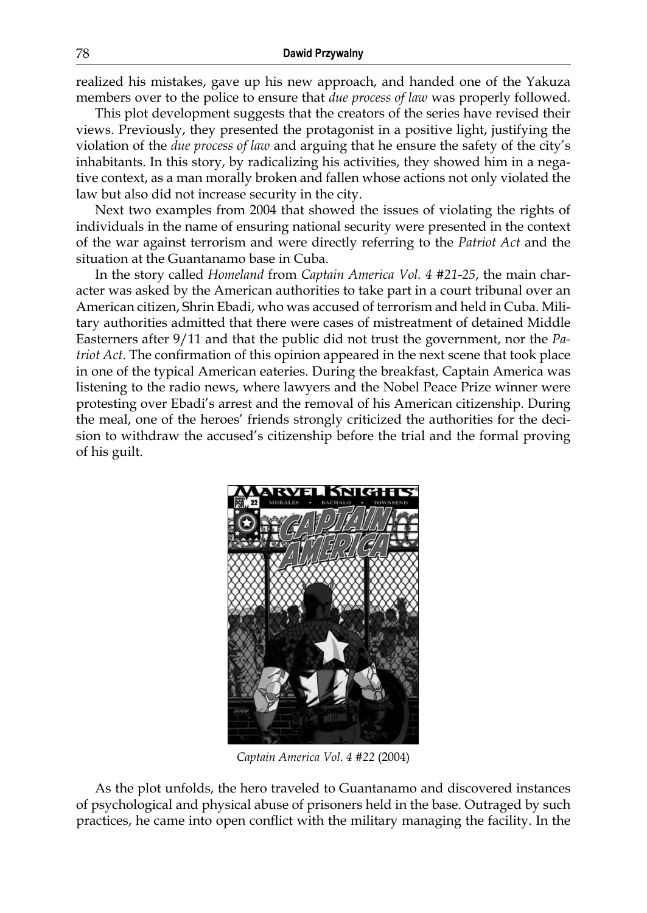realized his mistakes, gave up his new approach, and handed one of the Yakuza members over to the police to ensure that *due process of law* was properly followed.

This plot development suggests that the creators of the series have revised their views. Previously, they presented the protagonist in a positive light, justifying the violation of the *due process of law* and arguing that he ensure the safety of the city's inhabitants. In this story, by radicalizing his activities, they showed him in a negative context, as a man morally broken and fallen whose actions not only violated the law but also did not increase security in the city.

Next two examples from 2004 that showed the issues of violating the rights of individuals in the name of ensuring national security were presented in the context of the war against terrorism and were directly referring to the *Patriot Act* and the situation at the Guantanamo base in Cuba.

In the story called *Homeland* from *Captain America Vol. 4 #21-25*, the main character was asked by the American authorities to take part in a court tribunal over an American citizen, Shrin Ebadi, who was accused of terrorism and held in Cuba. Military authorities admitted that there were cases of mistreatment of detained Middle Easterners after 9/11 and that the public did not trust the government, nor the *Patriot Act*. The confirmation of this opinion appeared in the next scene that took place in one of the typical American eateries. During the breakfast, Captain America was listening to the radio news, where lawyers and the Nobel Peace Prize winner were protesting over Ebadi's arrest and the removal of his American citizenship. During the meal, one of the heroes' friends strongly criticized the authorities for the decision to withdraw the accused's citizenship before the trial and the formal proving of his guilt.



*Captain America Vol. 4 #22* (2004)

As the plot unfolds, the hero traveled to Guantanamo and discovered instances of psychological and physical abuse of prisoners held in the base. Outraged by such practices, he came into open conflict with the military managing the facility. In the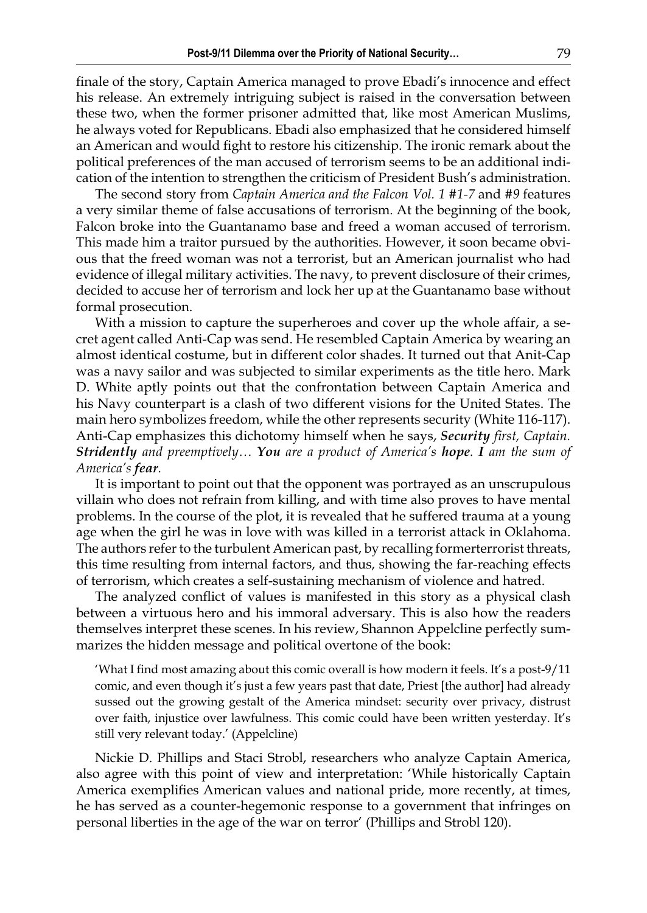finale of the story, Captain America managed to prove Ebadi's innocence and effect his release. An extremely intriguing subject is raised in the conversation between these two, when the former prisoner admitted that, like most American Muslims, he always voted for Republicans. Ebadi also emphasized that he considered himself an American and would fight to restore his citizenship. The ironic remark about the political preferences of the man accused of terrorism seems to be an additional indication of the intention to strengthen the criticism of President Bush's administration.

The second story from *Captain America and the Falcon Vol. 1 #1-7* and #*9* features a very similar theme of false accusations of terrorism. At the beginning of the book, Falcon broke into the Guantanamo base and freed a woman accused of terrorism. This made him a traitor pursued by the authorities. However, it soon became obvious that the freed woman was not a terrorist, but an American journalist who had evidence of illegal military activities. The navy, to prevent disclosure of their crimes, decided to accuse her of terrorism and lock her up at the Guantanamo base without formal prosecution.

With a mission to capture the superheroes and cover up the whole affair, a secret agent called Anti-Cap was send. He resembled Captain America by wearing an almost identical costume, but in different color shades. It turned out that Anit-Cap was a navy sailor and was subjected to similar experiments as the title hero. Mark D. White aptly points out that the confrontation between Captain America and his Navy counterpart is a clash of two different visions for the United States. The main hero symbolizes freedom, while the other represents security (White 116-117). Anti-Cap emphasizes this dichotomy himself when he says, *Security first, Captain. Stridently and preemptively… You are a product of America's hope. I am the sum of America's fear.*

It is important to point out that the opponent was portrayed as an unscrupulous villain who does not refrain from killing, and with time also proves to have mental problems. In the course of the plot, it is revealed that he suffered trauma at a young age when the girl he was in love with was killed in a terrorist attack in Oklahoma. The authors refer to the turbulent American past, by recalling formerterrorist threats, this time resulting from internal factors, and thus, showing the far-reaching effects of terrorism, which creates a self-sustaining mechanism of violence and hatred.

The analyzed conflict of values is manifested in this story as a physical clash between a virtuous hero and his immoral adversary. This is also how the readers themselves interpret these scenes. In his review, Shannon Appelcline perfectly summarizes the hidden message and political overtone of the book:

'What I find most amazing about this comic overall is how modern it feels. It's a post-9/11 comic, and even though it's just a few years past that date, Priest [the author] had already sussed out the growing gestalt of the America mindset: security over privacy, distrust over faith, injustice over lawfulness. This comic could have been written yesterday. It's still very relevant today.' (Appelcline)

Nickie D. Phillips and Staci Strobl, researchers who analyze Captain America, also agree with this point of view and interpretation: 'While historically Captain America exemplifies American values and national pride, more recently, at times, he has served as a counter-hegemonic response to a government that infringes on personal liberties in the age of the war on terror' (Phillips and Strobl 120).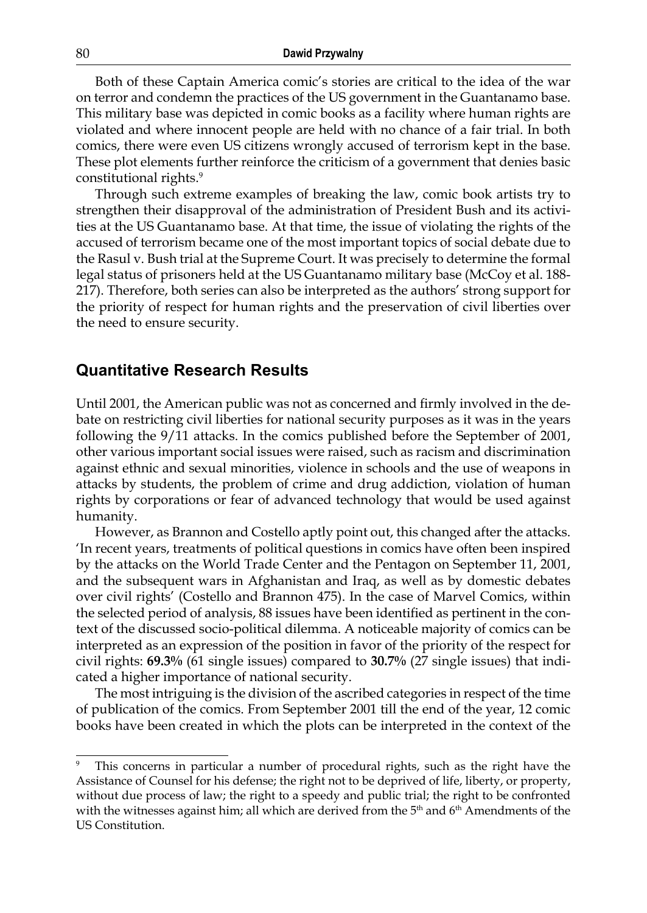Both of these Captain America comic's stories are critical to the idea of the war on terror and condemn the practices of the US government in the Guantanamo base. This military base was depicted in comic books as a facility where human rights are violated and where innocent people are held with no chance of a fair trial. In both comics, there were even US citizens wrongly accused of terrorism kept in the base. These plot elements further reinforce the criticism of a government that denies basic constitutional rights.<sup>9</sup>

Through such extreme examples of breaking the law, comic book artists try to strengthen their disapproval of the administration of President Bush and its activities at the US Guantanamo base. At that time, the issue of violating the rights of the accused of terrorism became one of the most important topics of social debate due to the Rasul v. Bush trial at the Supreme Court. It was precisely to determine the formal legal status of prisoners held at the US Guantanamo military base (McCoy et al. 188- 217). Therefore, both series can also be interpreted as the authors' strong support for the priority of respect for human rights and the preservation of civil liberties over the need to ensure security.

## **Quantitative Research Results**

Until 2001, the American public was not as concerned and firmly involved in the debate on restricting civil liberties for national security purposes as it was in the years following the 9/11 attacks. In the comics published before the September of 2001, other various important social issues were raised, such as racism and discrimination against ethnic and sexual minorities, violence in schools and the use of weapons in attacks by students, the problem of crime and drug addiction, violation of human rights by corporations or fear of advanced technology that would be used against humanity.

However, as Brannon and Costello aptly point out, this changed after the attacks. 'In recent years, treatments of political questions in comics have often been inspired by the attacks on the World Trade Center and the Pentagon on September 11, 2001, and the subsequent wars in Afghanistan and Iraq, as well as by domestic debates over civil rights' (Costello and Brannon 475). In the case of Marvel Comics, within the selected period of analysis, 88 issues have been identified as pertinent in the context of the discussed socio-political dilemma. A noticeable majority of comics can be interpreted as an expression of the position in favor of the priority of the respect for civil rights: **69.3%** (61 single issues) compared to **30.7%** (27 single issues) that indicated a higher importance of national security.

The most intriguing is the division of the ascribed categories in respect of the time of publication of the comics. From September 2001 till the end of the year, 12 comic books have been created in which the plots can be interpreted in the context of the

This concerns in particular a number of procedural rights, such as the right have the Assistance of Counsel for his defense; the right not to be deprived of life, liberty, or property, without due process of law; the right to a speedy and public trial; the right to be confronted with the witnesses against him; all which are derived from the  $5<sup>th</sup>$  and  $6<sup>th</sup>$  Amendments of the US Constitution.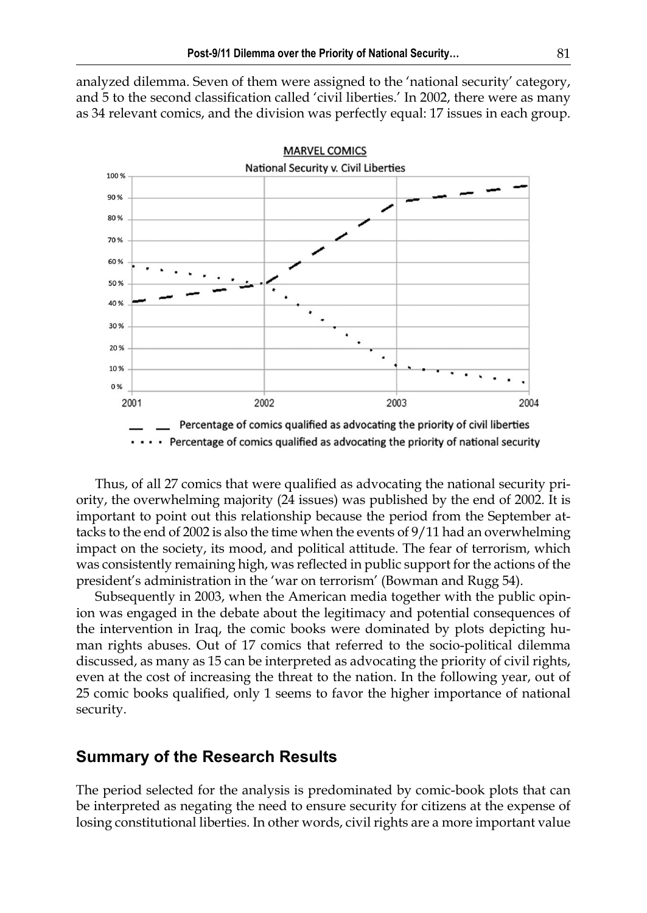analyzed dilemma. Seven of them were assigned to the 'national security' category, and 5 to the second classification called 'civil liberties.' In 2002, there were as many as 34 relevant comics, and the division was perfectly equal: 17 issues in each group.



Thus, of all 27 comics that were qualified as advocating the national security priority, the overwhelming majority (24 issues) was published by the end of 2002. It is important to point out this relationship because the period from the September attacks to the end of 2002 is also the time when the events of 9/11 had an overwhelming impact on the society, its mood, and political attitude. The fear of terrorism, which was consistently remaining high, was reflected in public support for the actions of the president's administration in the 'war on terrorism' (Bowman and Rugg 54).

Subsequently in 2003, when the American media together with the public opinion was engaged in the debate about the legitimacy and potential consequences of the intervention in Iraq, the comic books were dominated by plots depicting human rights abuses. Out of 17 comics that referred to the socio-political dilemma discussed, as many as 15 can be interpreted as advocating the priority of civil rights, even at the cost of increasing the threat to the nation. In the following year, out of 25 comic books qualified, only 1 seems to favor the higher importance of national security.

## **Summary of the Research Results**

The period selected for the analysis is predominated by comic-book plots that can be interpreted as negating the need to ensure security for citizens at the expense of losing constitutional liberties. In other words, civil rights are a more important value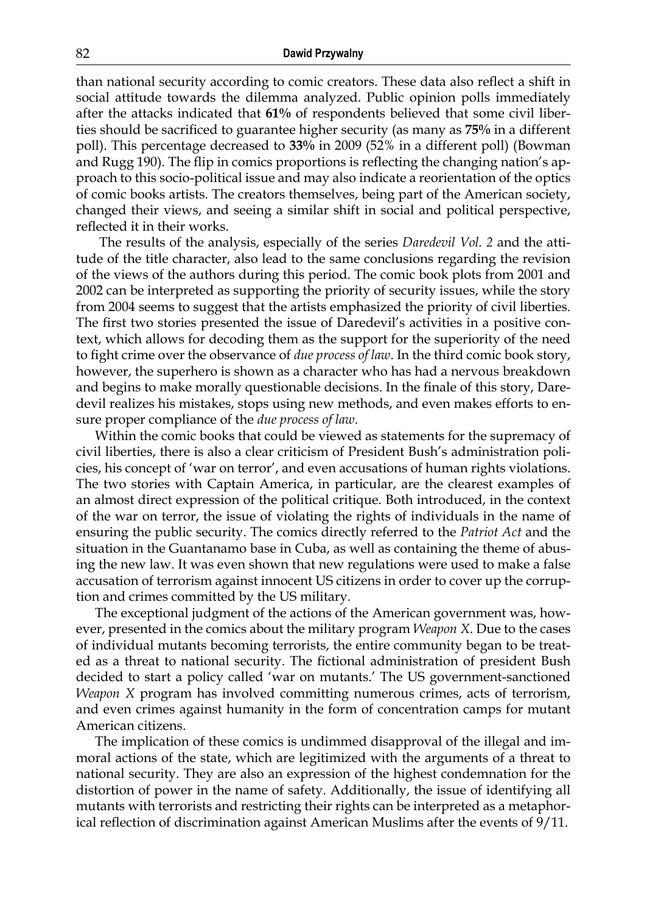than national security according to comic creators. These data also reflect a shift in social attitude towards the dilemma analyzed. Public opinion polls immediately after the attacks indicated that **61%** of respondents believed that some civil liberties should be sacrificed to guarantee higher security (as many as **75%** in a different poll). This percentage decreased to **33%** in 2009 (52% in a different poll) (Bowman and Rugg 190). The flip in comics proportions is reflecting the changing nation's approach to this socio-political issue and may also indicate a reorientation of the optics of comic books artists. The creators themselves, being part of the American society, changed their views, and seeing a similar shift in social and political perspective, reflected it in their works.

 The results of the analysis, especially of the series *Daredevil Vol. 2* and the attitude of the title character, also lead to the same conclusions regarding the revision of the views of the authors during this period. The comic book plots from 2001 and 2002 can be interpreted as supporting the priority of security issues, while the story from 2004 seems to suggest that the artists emphasized the priority of civil liberties. The first two stories presented the issue of Daredevil's activities in a positive context, which allows for decoding them as the support for the superiority of the need to fight crime over the observance of *due process of law*. In the third comic book story, however, the superhero is shown as a character who has had a nervous breakdown and begins to make morally questionable decisions. In the finale of this story, Daredevil realizes his mistakes, stops using new methods, and even makes efforts to ensure proper compliance of the *due process of law*.

Within the comic books that could be viewed as statements for the supremacy of civil liberties, there is also a clear criticism of President Bush's administration policies, his concept of 'war on terror', and even accusations of human rights violations. The two stories with Captain America, in particular, are the clearest examples of an almost direct expression of the political critique. Both introduced, in the context of the war on terror, the issue of violating the rights of individuals in the name of ensuring the public security. The comics directly referred to the *Patriot Act* and the situation in the Guantanamo base in Cuba, as well as containing the theme of abusing the new law. It was even shown that new regulations were used to make a false accusation of terrorism against innocent US citizens in order to cover up the corruption and crimes committed by the US military.

The exceptional judgment of the actions of the American government was, however, presented in the comics about the military program *Weapon X*. Due to the cases of individual mutants becoming terrorists, the entire community began to be treated as a threat to national security. The fictional administration of president Bush decided to start a policy called 'war on mutants.' The US government-sanctioned *Weapon X* program has involved committing numerous crimes, acts of terrorism, and even crimes against humanity in the form of concentration camps for mutant American citizens.

The implication of these comics is undimmed disapproval of the illegal and immoral actions of the state, which are legitimized with the arguments of a threat to national security. They are also an expression of the highest condemnation for the distortion of power in the name of safety. Additionally, the issue of identifying all mutants with terrorists and restricting their rights can be interpreted as a metaphorical reflection of discrimination against American Muslims after the events of 9/11.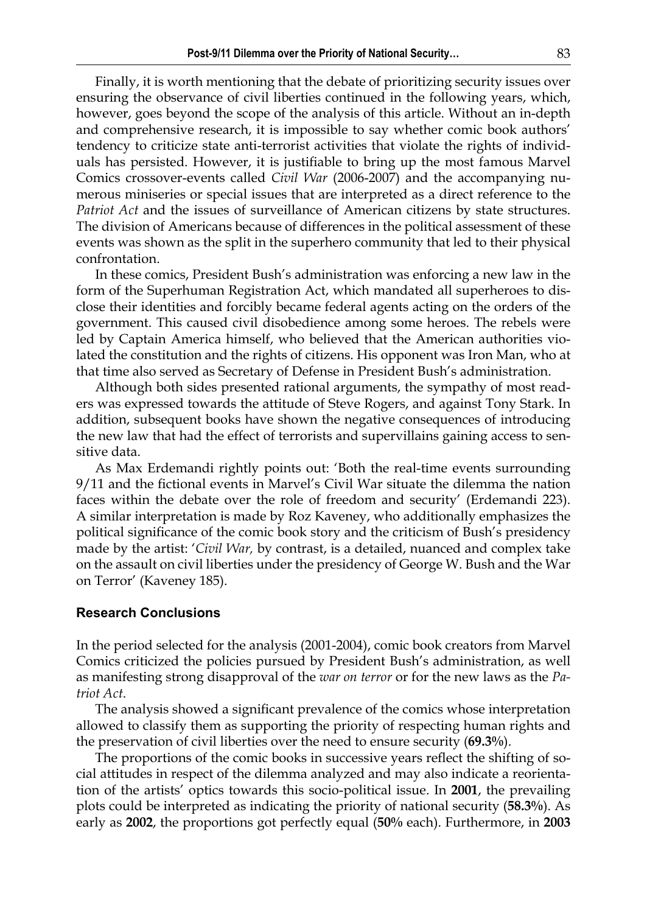Finally, it is worth mentioning that the debate of prioritizing security issues over ensuring the observance of civil liberties continued in the following years, which, however, goes beyond the scope of the analysis of this article. Without an in-depth and comprehensive research, it is impossible to say whether comic book authors' tendency to criticize state anti-terrorist activities that violate the rights of individuals has persisted. However, it is justifiable to bring up the most famous Marvel Comics crossover-events called *Civil War* (2006-2007) and the accompanying numerous miniseries or special issues that are interpreted as a direct reference to the *Patriot Act* and the issues of surveillance of American citizens by state structures. The division of Americans because of differences in the political assessment of these events was shown as the split in the superhero community that led to their physical confrontation.

In these comics, President Bush's administration was enforcing a new law in the form of the Superhuman Registration Act, which mandated all superheroes to disclose their identities and forcibly became federal agents acting on the orders of the government. This caused civil disobedience among some heroes. The rebels were led by Captain America himself, who believed that the American authorities violated the constitution and the rights of citizens. His opponent was Iron Man, who at that time also served as Secretary of Defense in President Bush's administration.

Although both sides presented rational arguments, the sympathy of most readers was expressed towards the attitude of Steve Rogers, and against Tony Stark. In addition, subsequent books have shown the negative consequences of introducing the new law that had the effect of terrorists and supervillains gaining access to sensitive data.

As Max Erdemandi rightly points out: 'Both the real-time events surrounding 9/11 and the fictional events in Marvel's Civil War situate the dilemma the nation faces within the debate over the role of freedom and security' (Erdemandi 223). A similar interpretation is made by Roz Kaveney, who additionally emphasizes the political significance of the comic book story and the criticism of Bush's presidency made by the artist: '*Civil War,* by contrast, is a detailed, nuanced and complex take on the assault on civil liberties under the presidency of George W. Bush and the War on Terror' (Kaveney 185).

#### **Research Conclusions**

In the period selected for the analysis (2001-2004), comic book creators from Marvel Comics criticized the policies pursued by President Bush's administration, as well as manifesting strong disapproval of the *war on terror* or for the new laws as the *Patriot Act*.

The analysis showed a significant prevalence of the comics whose interpretation allowed to classify them as supporting the priority of respecting human rights and the preservation of civil liberties over the need to ensure security (**69.3%**).

The proportions of the comic books in successive years reflect the shifting of social attitudes in respect of the dilemma analyzed and may also indicate a reorientation of the artists' optics towards this socio-political issue. In **2001**, the prevailing plots could be interpreted as indicating the priority of national security (**58.3%**). As early as **2002**, the proportions got perfectly equal (**50%** each). Furthermore, in **2003**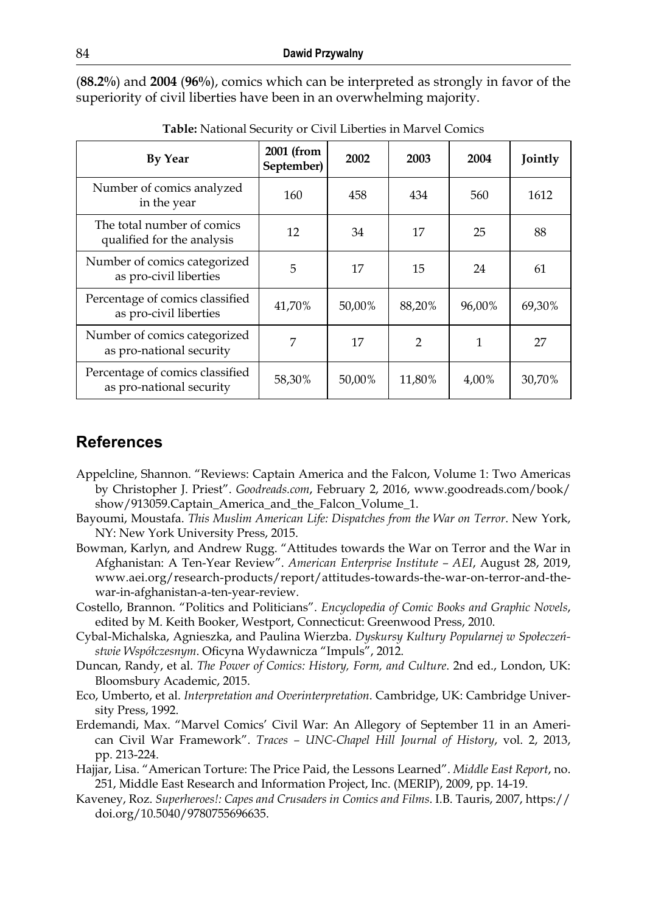(**88.2%**) and **2004** (**96%**), comics which can be interpreted as strongly in favor of the superiority of civil liberties have been in an overwhelming majority.

| <b>By Year</b>                                              | 2001 (from<br>September) | 2002   | 2003          | 2004   | Jointly |
|-------------------------------------------------------------|--------------------------|--------|---------------|--------|---------|
| Number of comics analyzed<br>in the year                    | 160                      | 458    | 434           | 560    | 1612    |
| The total number of comics<br>qualified for the analysis    | 12                       | 34     | 17            | 25     | 88      |
| Number of comics categorized<br>as pro-civil liberties      | 5                        | 17     | 15            | 24     | 61      |
| Percentage of comics classified<br>as pro-civil liberties   | 41,70%                   | 50,00% | 88,20%        | 96,00% | 69,30%  |
| Number of comics categorized<br>as pro-national security    | 7                        | 17     | $\mathcal{P}$ | 1      | 27      |
| Percentage of comics classified<br>as pro-national security | 58,30%                   | 50,00% | 11,80%        | 4,00%  | 30,70%  |

**Table:** National Security or Civil Liberties in Marvel Comics

## **References**

- Appelcline, Shannon. "Reviews: Captain America and the Falcon, Volume 1: Two Americas by Christopher J. Priest". *Goodreads.com*, February 2, 2016, www.goodreads.com/book/ show/913059.Captain\_America\_and\_the\_Falcon\_Volume\_1.
- Bayoumi, Moustafa. *This Muslim American Life: Dispatches from the War on Terror*. New York, NY: New York University Press, 2015.
- Bowman, Karlyn, and Andrew Rugg. "Attitudes towards the War on Terror and the War in Afghanistan: A Ten-Year Review". *American Enterprise Institute – AEI*, August 28, 2019, [www.aei.org/research-products/report/attitudes-towards-the-war-on-terror-and-the](http://www.aei.org/research-products/report/attitudes-towards-the-war-on-terror-and-the-war-in-afghanistan-a-ten-year-review)[war-in-afghanistan-a-ten-year-review.](http://www.aei.org/research-products/report/attitudes-towards-the-war-on-terror-and-the-war-in-afghanistan-a-ten-year-review)
- Costello, Brannon. "Politics and Politicians". *Encyclopedia of Comic Books and Graphic Novels*, edited by M. Keith Booker, Westport, Connecticut: Greenwood Press, 2010.
- Cybal-Michalska, Agnieszka, and Paulina Wierzba. *Dyskursy Kultury Popularnej w Społeczeństwie Współczesnym*. Oficyna Wydawnicza "Impuls", 2012.
- Duncan, Randy, et al. *The Power of Comics: History, Form, and Culture*. 2nd ed., London, UK: Bloomsbury Academic, 2015.
- Eco, Umberto, et al. *Interpretation and Overinterpretation*. Cambridge, UK: Cambridge University Press, 1992.
- Erdemandi, Max. "Marvel Comics' Civil War: An Allegory of September 11 in an American Civil War Framework". *Traces – UNC-Chapel Hill Journal of History*, vol. 2, 2013, pp. 213-224.
- Hajjar, Lisa. "American Torture: The Price Paid, the Lessons Learned". *Middle East Report*, no. 251, Middle East Research and Information Project, Inc. (MERIP), 2009, pp. 14-19.
- Kaveney, Roz. *Superheroes!: Capes and Crusaders in Comics and Films*. I.B. Tauris, 2007, [https://](https://doi.org/10.5040/9780755696635) [doi.org/10.5040/9780755696635](https://doi.org/10.5040/9780755696635).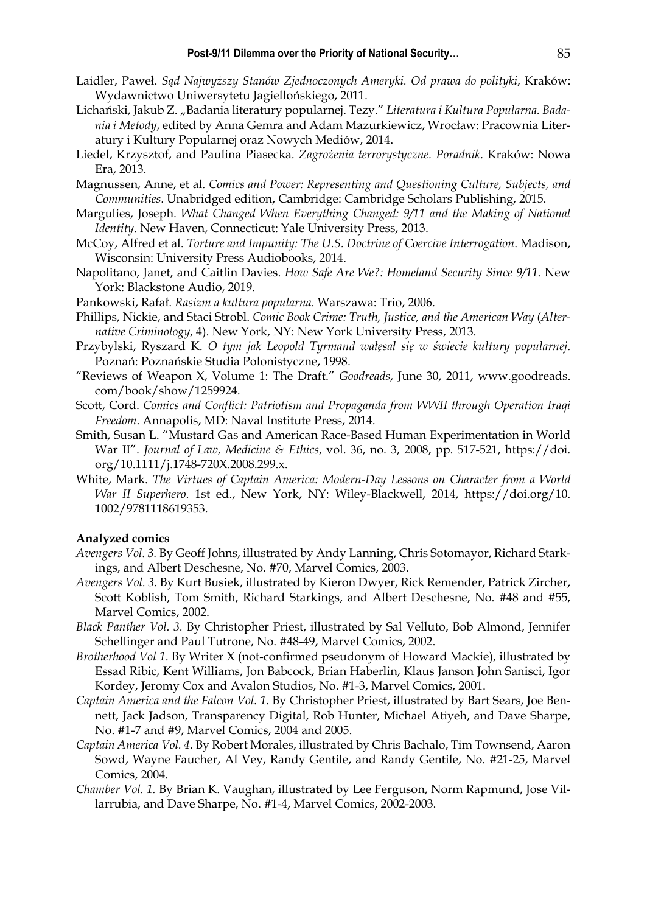- Laidler, Paweł. *Sąd Najwyższy Stanów Zjednoczonych Ameryki. Od prawa do polityki*, Kraków: Wydawnictwo Uniwersytetu Jagiellońskiego, 2011.
- Lichański, Jakub Z., "Badania literatury popularnej. Tezy." Literatura i Kultura Popularna. Bada*nia i Metody*, edited by Anna Gemra and Adam Mazurkiewicz, Wrocław: Pracownia Literatury i Kultury Popularnej oraz Nowych Mediów, 2014.
- Liedel, Krzysztof, and Paulina Piasecka. *Zagrożenia terrorystyczne. Poradnik*. Kraków: Nowa Era, 2013.
- Magnussen, Anne, et al. *Comics and Power: Representing and Questioning Culture, Subjects, and Communities*. Unabridged edition, Cambridge: Cambridge Scholars Publishing, 2015.
- Margulies, Joseph. *What Changed When Everything Changed: 9/11 and the Making of National Identity*. New Haven, Connecticut: Yale University Press, 2013.
- McCoy, Alfred et al. *Torture and Impunity: The U.S. Doctrine of Coercive Interrogation*. Madison, Wisconsin: University Press Audiobooks, 2014.
- Napolitano, Janet, and Caitlin Davies. *How Safe Are We?: Homeland Security Since 9/11*. New York: Blackstone Audio, 2019.
- Pankowski, Rafał. *Rasizm a kultura popularna*. Warszawa: Trio, 2006.
- Phillips, Nickie, and Staci Strobl. *Comic Book Crime: Truth*, Justice, and the American Way (Alter*native Criminology*, 4). New York, NY: New York University Press, 2013.
- Przybylski, Ryszard K. *O tym jak Leopold Tyrmand wałęsał się w świecie kultury popularnej*. Poznań: Poznańskie Studia Polonistyczne, 1998.
- "Reviews of Weapon X, Volume 1: The Draft." *Goodreads*, June 30, 2011, www.goodreads. com/book/show/1259924.
- Scott, Cord. *Comics and Conflict: Patriotism and Propaganda from WWII through Operation Iraqi Freedom*. Annapolis, MD: Naval Institute Press, 2014.
- Smith, Susan L. "Mustard Gas and American Race-Based Human Experimentation in World War II". *Journal of Law, Medicine & Ethics*, vol. 36, no. 3, 2008, pp. 517-521, [https://doi.](https://doi.org/10.1111/j.1748-720X.2008.299.x) [org/10.1111/j.1748-720X.2008.299.x](https://doi.org/10.1111/j.1748-720X.2008.299.x).
- White, Mark. *The Virtues of Captain America: Modern-Day Lessons on Character from a World War II Superhero*. 1st ed., New York, NY: Wiley-Blackwell, 2014, [https://doi.org/10.](https://doi.org/10.1002/9781118619353) [1002/9781118619353.](https://doi.org/10.1002/9781118619353)

#### **Analyzed comics**

- *Avengers Vol. 3.* By Geoff Johns, illustrated by Andy Lanning, Chris Sotomayor, Richard Starkings, and Albert Deschesne, No. #70, Marvel Comics, 2003.
- *Avengers Vol. 3.* By Kurt Busiek, illustrated by Kieron Dwyer, Rick Remender, Patrick Zircher, Scott Koblish, Tom Smith, Richard Starkings, and Albert Deschesne, No. #48 and #55, Marvel Comics, 2002.
- *Black Panther Vol. 3.* By Christopher Priest, illustrated by Sal Velluto, Bob Almond, Jennifer Schellinger and Paul Tutrone, No. #48-49, Marvel Comics, 2002.
- *Brotherhood Vol 1*. By Writer X (not-confirmed pseudonym of Howard Mackie), illustrated by Essad Ribic, Kent Williams, Jon Babcock, Brian Haberlin, Klaus Janson John Sanisci, Igor Kordey, Jeromy Cox and Avalon Studios, No. #1-3, Marvel Comics, 2001.
- *Captain America and the Falcon Vol. 1.* By Christopher Priest, illustrated by Bart Sears, Joe Bennett, Jack Jadson, Transparency Digital, Rob Hunter, Michael Atiyeh, and Dave Sharpe, No. #1-7 and #9, Marvel Comics, 2004 and 2005.
- *Captain America Vol. 4*. By Robert Morales, illustrated by Chris Bachalo, Tim Townsend, Aaron Sowd, Wayne Faucher, Al Vey, Randy Gentile, and Randy Gentile, No. #21-25, Marvel Comics, 2004.
- *Chamber Vol. 1.* By Brian K. Vaughan, illustrated by Lee Ferguson, Norm Rapmund, Jose Villarrubia, and Dave Sharpe, No. #1-4, Marvel Comics, 2002-2003.